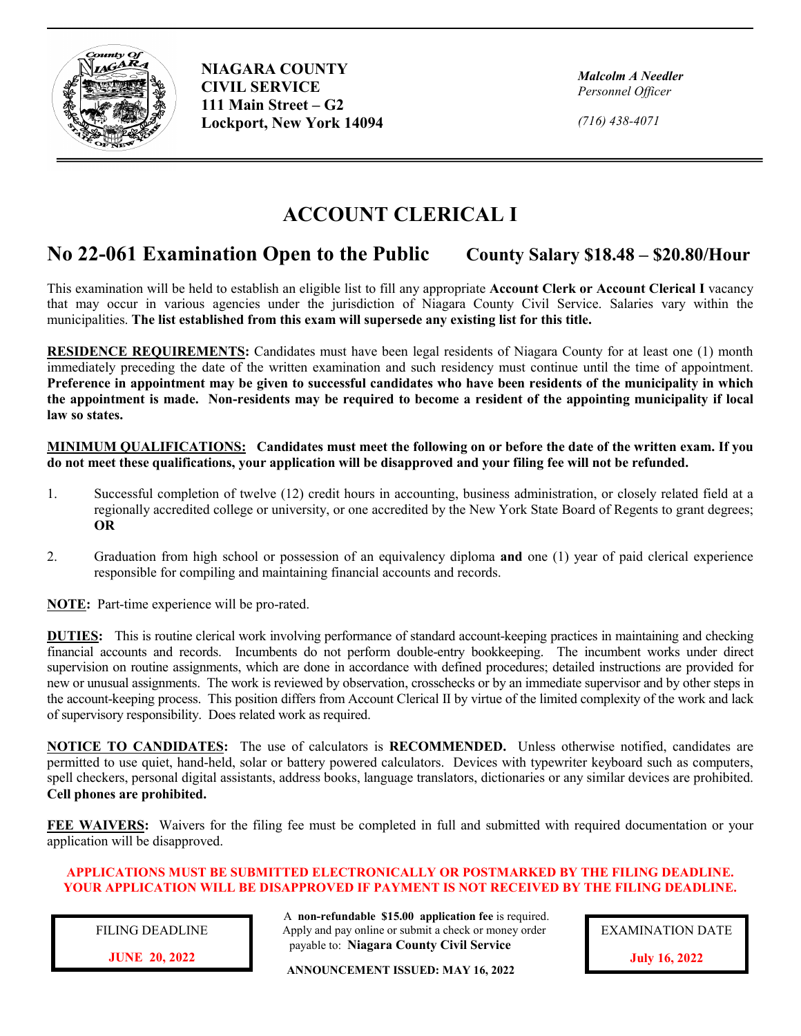

**NIAGARA COUNTY CIVIL SERVICE 111 Main Street – G2 Lockport, New York 14094**

*Malcolm A Needler Personnel Officer*

*(716) 438-4071*

## **ACCOUNT CLERICAL I**

## **No 22-061 Examination Open to the Public County Salary \$18.48 – \$20.80/Hour**

This examination will be held to establish an eligible list to fill any appropriate **Account Clerk or Account Clerical I** vacancy that may occur in various agencies under the jurisdiction of Niagara County Civil Service. Salaries vary within the municipalities. **The list established from this exam will supersede any existing list for this title.**

**RESIDENCE REQUIREMENTS:** Candidates must have been legal residents of Niagara County for at least one (1) month immediately preceding the date of the written examination and such residency must continue until the time of appointment. **Preference in appointment may be given to successful candidates who have been residents of the municipality in which the appointment is made. Non-residents may be required to become a resident of the appointing municipality if local law so states.**

**MINIMUM QUALIFICATIONS: Candidates must meet the following on or before the date of the written exam. If you do not meet these qualifications, your application will be disapproved and your filing fee will not be refunded.** 

- 1. Successful completion of twelve (12) credit hours in accounting, business administration, or closely related field at a regionally accredited college or university, or one accredited by the New York State Board of Regents to grant degrees; **OR**
- 2. Graduation from high school or possession of an equivalency diploma **and** one (1) year of paid clerical experience responsible for compiling and maintaining financial accounts and records.

**NOTE:** Part-time experience will be pro-rated.

**DUTIES:** This is routine clerical work involving performance of standard account-keeping practices in maintaining and checking financial accounts and records. Incumbents do not perform double-entry bookkeeping. The incumbent works under direct supervision on routine assignments, which are done in accordance with defined procedures; detailed instructions are provided for new or unusual assignments. The work is reviewed by observation, crosschecks or by an immediate supervisor and by other steps in the account-keeping process. This position differs from Account Clerical II by virtue of the limited complexity of the work and lack of supervisory responsibility. Does related work as required.

**NOTICE TO CANDIDATES:** The use of calculators is **RECOMMENDED.** Unless otherwise notified, candidates are permitted to use quiet, hand-held, solar or battery powered calculators. Devices with typewriter keyboard such as computers, spell checkers, personal digital assistants, address books, language translators, dictionaries or any similar devices are prohibited. **Cell phones are prohibited.**

**FEE WAIVERS:** Waivers for the filing fee must be completed in full and submitted with required documentation or your application will be disapproved.

## **APPLICATIONS MUST BE SUBMITTED ELECTRONICALLY OR POSTMARKED BY THE FILING DEADLINE. YOUR APPLICATION WILL BE DISAPPROVED IF PAYMENT IS NOT RECEIVED BY THE FILING DEADLINE.**

FILING DEADLINE

 A **non-refundable \$15.00 application fee** is required. Apply and pay online or submit a check or money order payable to: **Niagara County Civil Service**

**JUNE 20, 2022 ANNOUNCEMENT ISSUED: MAY 16, 2022** 



**July 16, 2022**